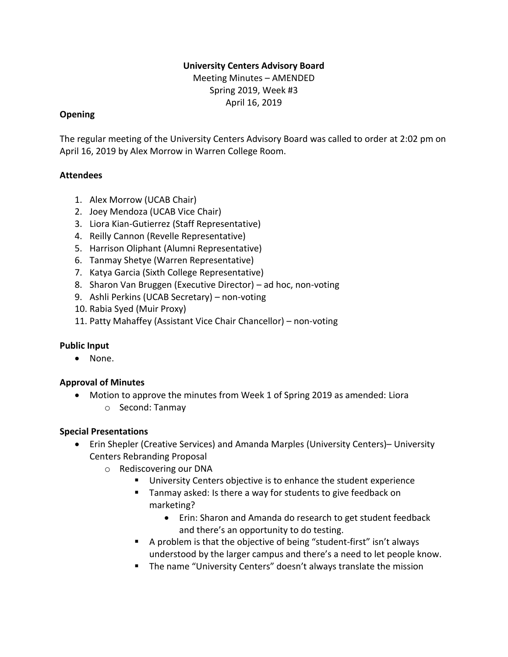### **University Centers Advisory Board**

Meeting Minutes – AMENDED Spring 2019, Week #3 April 16, 2019

#### **Opening**

The regular meeting of the University Centers Advisory Board was called to order at 2:02 pm on April 16, 2019 by Alex Morrow in Warren College Room.

### **Attendees**

- 1. Alex Morrow (UCAB Chair)
- 2. Joey Mendoza (UCAB Vice Chair)
- 3. Liora Kian-Gutierrez (Staff Representative)
- 4. Reilly Cannon (Revelle Representative)
- 5. Harrison Oliphant (Alumni Representative)
- 6. Tanmay Shetye (Warren Representative)
- 7. Katya Garcia (Sixth College Representative)
- 8. Sharon Van Bruggen (Executive Director) ad hoc, non-voting
- 9. Ashli Perkins (UCAB Secretary) non-voting
- 10. Rabia Syed (Muir Proxy)
- 11. Patty Mahaffey (Assistant Vice Chair Chancellor) non-voting

## **Public Input**

• None.

## **Approval of Minutes**

• Motion to approve the minutes from Week 1 of Spring 2019 as amended: Liora o Second: Tanmay

## **Special Presentations**

- Erin Shepler (Creative Services) and Amanda Marples (University Centers)– University Centers Rebranding Proposal
	- o Rediscovering our DNA
		- University Centers objective is to enhance the student experience
		- Tanmay asked: Is there a way for students to give feedback on marketing?
			- Erin: Sharon and Amanda do research to get student feedback and there's an opportunity to do testing.
		- A problem is that the objective of being "student-first" isn't always understood by the larger campus and there's a need to let people know.
		- The name "University Centers" doesn't always translate the mission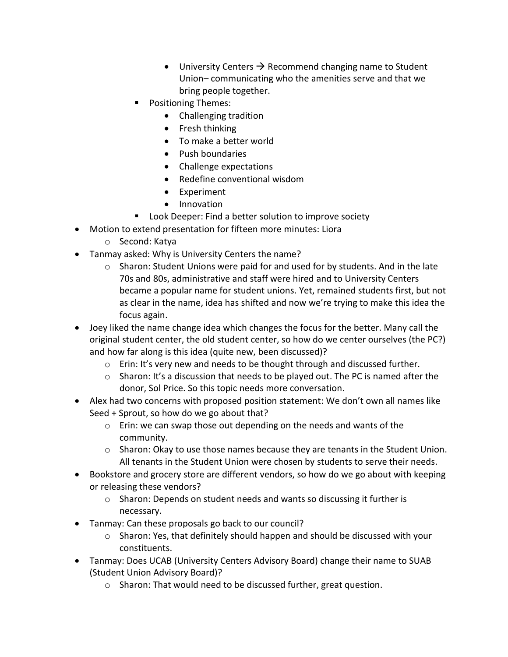- University Centers  $\rightarrow$  Recommend changing name to Student Union– communicating who the amenities serve and that we bring people together.
- Positioning Themes:
	- Challenging tradition
	- Fresh thinking
	- To make a better world
	- Push boundaries
	- Challenge expectations
	- Redefine conventional wisdom
	- Experiment
	- Innovation
- Look Deeper: Find a better solution to improve society
- Motion to extend presentation for fifteen more minutes: Liora
	- o Second: Katya
- Tanmay asked: Why is University Centers the name?
	- $\circ$  Sharon: Student Unions were paid for and used for by students. And in the late 70s and 80s, administrative and staff were hired and to University Centers became a popular name for student unions. Yet, remained students first, but not as clear in the name, idea has shifted and now we're trying to make this idea the focus again.
- Joey liked the name change idea which changes the focus for the better. Many call the original student center, the old student center, so how do we center ourselves (the PC?) and how far along is this idea (quite new, been discussed)?
	- $\circ$  Erin: It's very new and needs to be thought through and discussed further.
	- $\circ$  Sharon: It's a discussion that needs to be played out. The PC is named after the donor, Sol Price. So this topic needs more conversation.
- Alex had two concerns with proposed position statement: We don't own all names like Seed + Sprout, so how do we go about that?
	- o Erin: we can swap those out depending on the needs and wants of the community.
	- $\circ$  Sharon: Okay to use those names because they are tenants in the Student Union. All tenants in the Student Union were chosen by students to serve their needs.
- Bookstore and grocery store are different vendors, so how do we go about with keeping or releasing these vendors?
	- $\circ$  Sharon: Depends on student needs and wants so discussing it further is necessary.
- Tanmay: Can these proposals go back to our council?
	- o Sharon: Yes, that definitely should happen and should be discussed with your constituents.
- Tanmay: Does UCAB (University Centers Advisory Board) change their name to SUAB (Student Union Advisory Board)?
	- o Sharon: That would need to be discussed further, great question.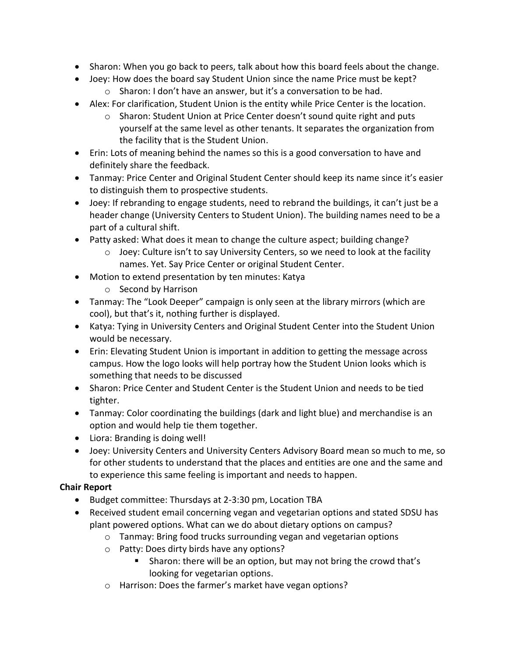- Sharon: When you go back to peers, talk about how this board feels about the change.
- Joey: How does the board say Student Union since the name Price must be kept? o Sharon: I don't have an answer, but it's a conversation to be had.
- Alex: For clarification, Student Union is the entity while Price Center is the location.
	- $\circ$  Sharon: Student Union at Price Center doesn't sound quite right and puts yourself at the same level as other tenants. It separates the organization from the facility that is the Student Union.
- Erin: Lots of meaning behind the names so this is a good conversation to have and definitely share the feedback.
- Tanmay: Price Center and Original Student Center should keep its name since it's easier to distinguish them to prospective students.
- Joey: If rebranding to engage students, need to rebrand the buildings, it can't just be a header change (University Centers to Student Union). The building names need to be a part of a cultural shift.
- Patty asked: What does it mean to change the culture aspect; building change?
	- o Joey: Culture isn't to say University Centers, so we need to look at the facility names. Yet. Say Price Center or original Student Center.
- Motion to extend presentation by ten minutes: Katya
	- o Second by Harrison
- Tanmay: The "Look Deeper" campaign is only seen at the library mirrors (which are cool), but that's it, nothing further is displayed.
- Katya: Tying in University Centers and Original Student Center into the Student Union would be necessary.
- Erin: Elevating Student Union is important in addition to getting the message across campus. How the logo looks will help portray how the Student Union looks which is something that needs to be discussed
- Sharon: Price Center and Student Center is the Student Union and needs to be tied tighter.
- Tanmay: Color coordinating the buildings (dark and light blue) and merchandise is an option and would help tie them together.
- Liora: Branding is doing well!
- Joey: University Centers and University Centers Advisory Board mean so much to me, so for other students to understand that the places and entities are one and the same and to experience this same feeling is important and needs to happen.

# **Chair Report**

- Budget committee: Thursdays at 2-3:30 pm, Location TBA
- Received student email concerning vegan and vegetarian options and stated SDSU has plant powered options. What can we do about dietary options on campus?
	- o Tanmay: Bring food trucks surrounding vegan and vegetarian options
	- o Patty: Does dirty birds have any options?
		- Sharon: there will be an option, but may not bring the crowd that's looking for vegetarian options.
	- o Harrison: Does the farmer's market have vegan options?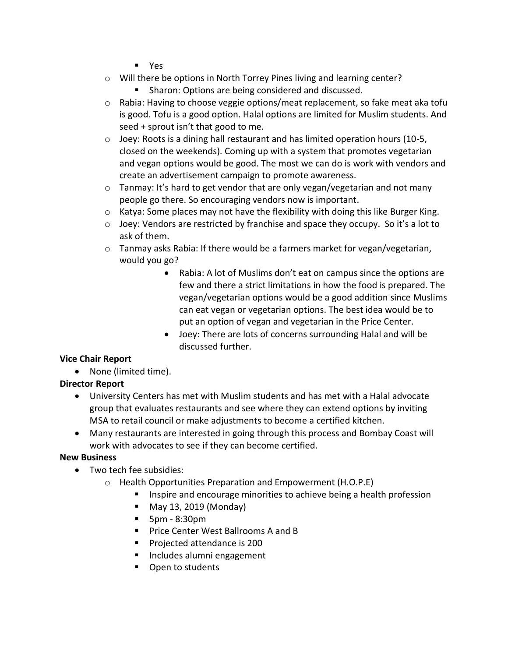- Yes
- o Will there be options in North Torrey Pines living and learning center?
	- Sharon: Options are being considered and discussed.
- $\circ$  Rabia: Having to choose veggie options/meat replacement, so fake meat aka tofu is good. Tofu is a good option. Halal options are limited for Muslim students. And seed + sprout isn't that good to me.
- o Joey: Roots is a dining hall restaurant and has limited operation hours (10-5, closed on the weekends). Coming up with a system that promotes vegetarian and vegan options would be good. The most we can do is work with vendors and create an advertisement campaign to promote awareness.
- $\circ$  Tanmay: It's hard to get vendor that are only vegan/vegetarian and not many people go there. So encouraging vendors now is important.
- $\circ$  Katya: Some places may not have the flexibility with doing this like Burger King.
- o Joey: Vendors are restricted by franchise and space they occupy. So it's a lot to ask of them.
- o Tanmay asks Rabia: If there would be a farmers market for vegan/vegetarian, would you go?
	- Rabia: A lot of Muslims don't eat on campus since the options are few and there a strict limitations in how the food is prepared. The vegan/vegetarian options would be a good addition since Muslims can eat vegan or vegetarian options. The best idea would be to put an option of vegan and vegetarian in the Price Center.
	- Joey: There are lots of concerns surrounding Halal and will be discussed further.

## **Vice Chair Report**

• None (limited time).

# **Director Report**

- University Centers has met with Muslim students and has met with a Halal advocate group that evaluates restaurants and see where they can extend options by inviting MSA to retail council or make adjustments to become a certified kitchen.
- Many restaurants are interested in going through this process and Bombay Coast will work with advocates to see if they can become certified.

## **New Business**

- Two tech fee subsidies:
	- o Health Opportunities Preparation and Empowerment (H.O.P.E)
		- Inspire and encourage minorities to achieve being a health profession
		- May 13, 2019 (Monday)
		- 5pm 8:30pm
		- Price Center West Ballrooms A and B
		- Projected attendance is 200
		- Includes alumni engagement
		- Open to students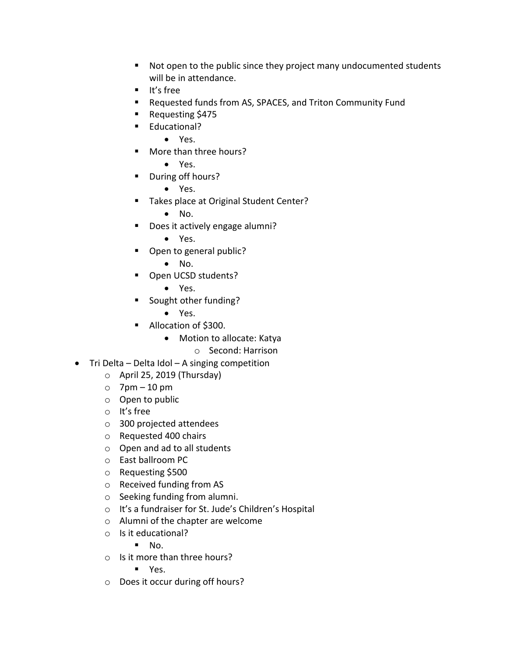- Not open to the public since they project many undocumented students will be in attendance.
- It's free
- Requested funds from AS, SPACES, and Triton Community Fund
- Requesting \$475
- Educational?
	- Yes.
- More than three hours?
	- Yes.
- During off hours?
	- Yes.
- Takes place at Original Student Center?
	- No.
- Does it actively engage alumni?
	- Yes.
- Open to general public?
	- No.
- Open UCSD students?
	- Yes.
- Sought other funding?
	- Yes.
- Allocation of \$300.
	- Motion to allocate: Katya
		- o Second: Harrison
- Tri Delta Delta Idol A singing competition
	- o April 25, 2019 (Thursday)
	- $\circ$  7pm 10 pm
	- o Open to public
	- o It's free
	- o 300 projected attendees
	- o Requested 400 chairs
	- o Open and ad to all students
	- o East ballroom PC
	- o Requesting \$500
	- o Received funding from AS
	- o Seeking funding from alumni.
	- o It's a fundraiser for St. Jude's Children's Hospital
	- o Alumni of the chapter are welcome
	- o Is it educational?

 $\blacksquare$  No.

o Is it more than three hours?

■ Yes.

o Does it occur during off hours?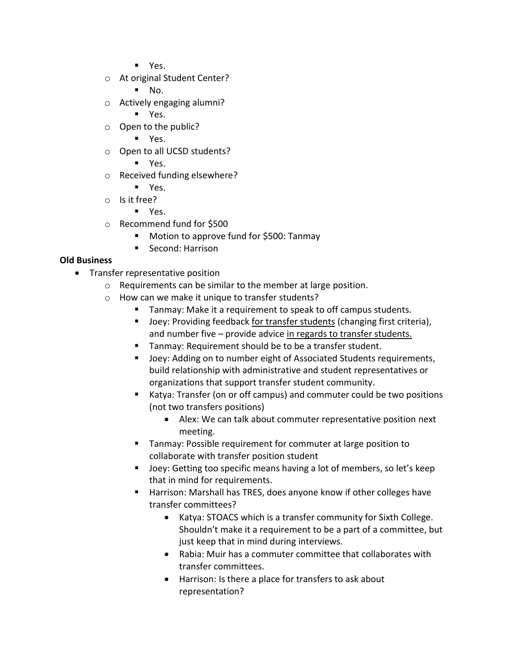- Yes.
- o At original Student Center?
	- $\blacksquare$  No.
- o Actively engaging alumni?
	- Yes.
- o Open to the public?
	- Yes.
- o Open to all UCSD students?
	- Yes.
- o Received funding elsewhere?
	- Yes.
- o Is it free?
	- Yes.
- o Recommend fund for \$500
	- Motion to approve fund for \$500: Tanmay
	- Second: Harrison

## **Old Business**

- Transfer representative position
	- o Requirements can be similar to the member at large position.
	- o How can we make it unique to transfer students?
		- Tanmay: Make it a requirement to speak to off campus students.
		- Joey: Providing feedback for transfer students (changing first criteria), and number five – provide advice in regards to transfer students.
		- Tanmay: Requirement should be to be a transfer student.
		- Joey: Adding on to number eight of Associated Students requirements, build relationship with administrative and student representatives or organizations that support transfer student community.
		- Katya: Transfer (on or off campus) and commuter could be two positions (not two transfers positions)
			- Alex: We can talk about commuter representative position next meeting.
		- Tanmay: Possible requirement for commuter at large position to collaborate with transfer position student
		- Joey: Getting too specific means having a lot of members, so let's keep that in mind for requirements.
		- Harrison: Marshall has TRES, does anyone know if other colleges have transfer committees?
			- Katya: STOACS which is a transfer community for Sixth College. Shouldn't make it a requirement to be a part of a committee, but just keep that in mind during interviews.
			- Rabia: Muir has a commuter committee that collaborates with transfer committees.
			- Harrison: Is there a place for transfers to ask about representation?